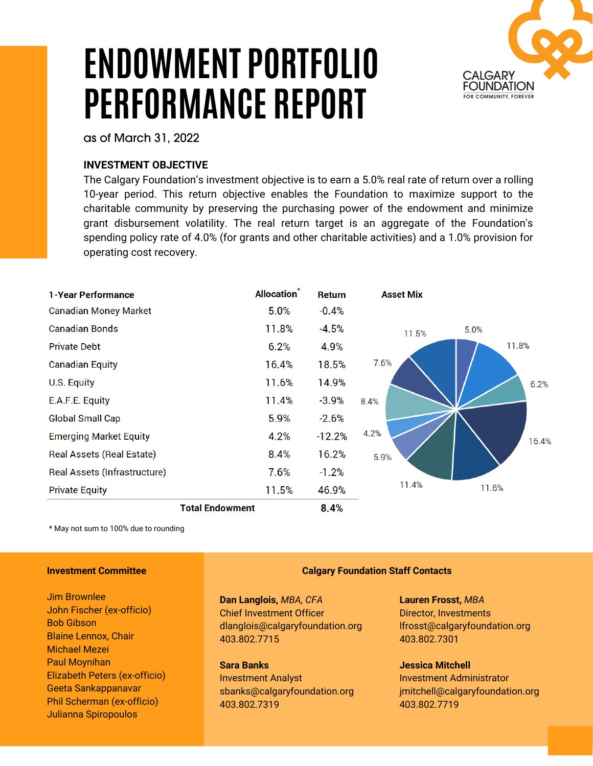# **ENDOWMENT PORTFOLIO PERFORMANCE REPORT**



as of March 31, 2022

## **INVESTMENT OBJECTIVE**

The Calgary Foundation's investment objective is to earn a 5.0% real rate of return over a rolling 10-year period. This return objective enables the Foundation to maximize support to the charitable community by preserving the purchasing power of the endowment and minimize grant disbursement volatility. The real return target is an aggregate of the Foundation's spending policy rate of 4.0% (for grants and other charitable activities) and a 1.0% provision for operating cost recovery.

| <b>1-Year Performance</b>        |                        | <b>Allocation</b> <sup>*</sup> | <b>Return</b> | <b>Asset Mix</b> |       |
|----------------------------------|------------------------|--------------------------------|---------------|------------------|-------|
| <b>Canadian Money Market</b>     |                        | 5.0%                           | $-0.4%$       |                  |       |
| <b>Canadian Bonds</b>            |                        | 11.8%                          | $-4.5%$       | 11.5%            | 5.0%  |
| <b>Private Debt</b>              |                        | 6.2%                           | 4.9%          |                  | 11.8% |
| <b>Canadian Equity</b>           |                        | 16.4%                          | 18.5%         | 7.6%             |       |
| U.S. Equity                      |                        | 11.6%                          | 14.9%         |                  | 6.2%  |
| E.A.F.E. Equity                  |                        | 11.4%                          | $-3.9%$       | 8.4%             |       |
| <b>Global Small Cap</b>          |                        | 5.9%                           | $-2.6%$       |                  |       |
| <b>Emerging Market Equity</b>    |                        | 4.2%                           | $-12.2%$      | 4.2%             | 16.4% |
| <b>Real Assets (Real Estate)</b> |                        | 8.4%                           | 16.2%         | 5.9%             |       |
| Real Assets (Infrastructure)     |                        | 7.6%                           | $-1.2%$       |                  |       |
| <b>Private Equity</b>            |                        | 11.5%                          | 46.9%         | 11.4%            | 11.6% |
|                                  | <b>Total Endowment</b> |                                | 8.4%          |                  |       |

\* May not sum to 100% due to rounding

#### **Investment Committee**

Jim Brownlee John Fischer (ex-officio) Bob Gibson Blaine Lennox, Chair Michael Mezei Paul Moynihan Elizabeth Peters (ex-officio) Geeta Sankappanavar Phil Scherman (ex-officio) Julianna Spiropoulos

## **Calgary Foundation Staff Contacts**

**Dan Langlois,** *MBA, CFA* Chief Investment Officer dlanglois@calgaryfoundation.org 403.802.7715

**Sara Banks** Investment Analyst sbanks@calgaryfoundation.org 403.802.7319

**Lauren Frosst,** *MBA* Director, Investments lfrosst@calgaryfoundation.org 403.802.7301

**Jessica Mitchell** Investment Administrator jmitchell@calgaryfoundation.org 403.802.7719